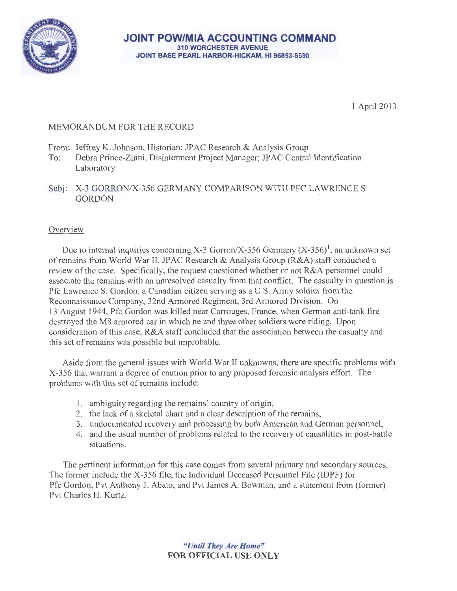

**JOINT POW/MIA ACCOUNTING COMMAND**  310 WORCHESTER AVENUE JOINT BASE PEARL HARBOR-HICKAM, HI 96853-5530

1 April2013

# MEMORANDUM FOR THE RECORD

- From: Jeffrey K. Johnson, Historian; JPAC Research & Analysis Group
- To: Debra Prince-Zinni, Disinterment Project Manager; JP AC Central Identification Laboratory
- Subj: X-3 GORRON/X-356 GERMANY COMPARISON WITH PFC LAWRENCE S. GORDON

## **Overview**

Due to internal inquiries concerning X-3 Gorron/X-356 Germany  $(X-356)^1$ , an unknown set ofremains from World War II, JPAC Research & Analysis Group (R&A) staff conducted a review of the case. Specifically, the request questioned whether or not R&A personnel could associate the remains with an unresolved casualty from that conflict. The casualty in question is Pfc Lawrence S. Gordon, a Canadian citizen serving as a U.S. Army soldier from the Reconnaissance Company, 32nd Armored Regiment, 3rd Armored Division. On 13 August 1944, Pfc Gordon was killed near Carrouges, France, when German anti-tank fire destroyed the M8 armored car in which he and three other soldiers were riding. Upon consideration of this case, R&A staff concluded that the association between the casualty and this set of remains was possible but improbable.

Aside from the general issues with World War II unknowns, there are specific problems with X-356 that warrant a degree of caution prior to any proposed forensic analysis effort. The problems with this set of remains include:

- 1. ambiguity regarding the remains' country of origin,
- 2. the lack of a skeletal chart and a clear description of the remains,
- 3. undocumented recovery and processing by both American and German personnel,
- 4. and the usual number of problems related to the recovery of causalities in post-battle situations.

The pertinent information for this case comes from several primary and secondary sources. The former include the X-356 file, the Individual Deceased Personnel File (IDPF) for Pfc Gordon, Pvt Anthony J. Abato, and Pvt James A. Bowman, and a statement from (former) Pvt Charles H. Kurtz.

> *''Until They Are Home"*  FOR OFFICIAL USE ONLY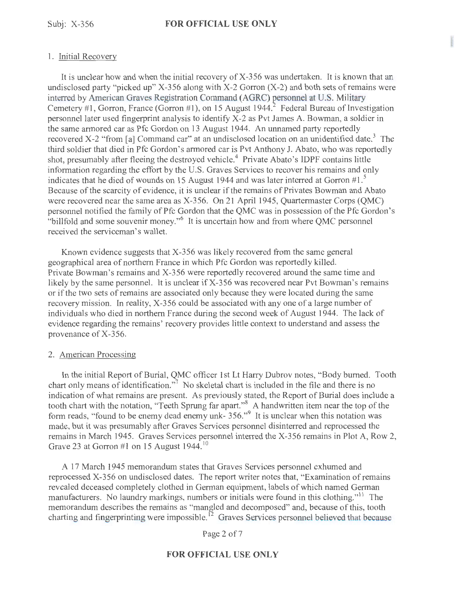#### 1. Initial Recovery

It is unclear how and when the initial recovery of  $X-356$  was undertaken. It is known that an undisclosed party "picked up"  $X-356$  along with  $X-2$  Gorron  $(X-2)$  and both sets of remains were interred by American Graves Registration Command (AGRC) personnel at U.S. Military Cemetery #1, Gorron, France (Gorron #1), on 15 August 1944.<sup>2</sup> Federal Bureau of Investigation personnel later used fingerprint analysis to identify X-2 as Pvt James A. Bowman, a soldier in the same armored car as Pfc Gordon on 13 August 1944. An unnamed party reportedly recovered X-2 "from [a] Command car" at an undisclosed location on an unidentified date.<sup>3</sup> The third soldier that died in Pfc Gordon's armored car is Pvt Anthony J. Abato, who was reportedly shot, presumably after fleeing the destroyed vehicle.<sup>4</sup> Private Abato's IDPF contains little information regarding the effort by the U.S. Graves Services to recover his remains and only indicates that he died of wounds on 15 August 1944 and was later interred at Gorron  $#1.^{s}$ Because of the scarcity of evidence, it is unclear if the remains of Privates Bowman and Abato were recovered near the same area as X-356. On 21 April 1945, Quartermaster Corps (QMC) personnel notified the family of Pfc Gordon that the QMC was in possession of the Pfc Gordon's "billfold and some souvenir money."<sup>6</sup> It is uncertain how and from where QMC personnel received the serviceman's wallet.

Known evidence suggests that X-356 was likely recovered from the same general geographical area of northern France in which Pfc Gordon was reportedly killed. Private Bowman's remains and X-356 were reportedly recovered around the same time and likely by the same personnel. It is unclear if X-356 was recovered near Pvt Bowman's remains or if the two sets of remains are associated only because they were located during the same recovery mission. In reality, X-356 could be associated with any one of a large number of individuals who died in northern France during the second week of August 1944. The lack of evidence regarding the remains' recovery provides little context to understand and assess the provenance of X-356.

#### 2. American Processing

In the initial Report of Burial, QMC officer 1st Lt Harry Dubrov notes, "Body burned. Tooth chart only means of identification."<sup>7</sup> No skeletal chart is included in the file and there is no indication of what remains are present. As previously stated, the Report of Burial does include a tooth chart with the notation, "Teeth Sprung far apart."<sup>8</sup> A handwritten item near the top of the form reads, "found to be enemy dead enemy unk- 356."<sup>9</sup> It is unclear when this notation was made, but it was presumably after Graves Services personnel disinterred and reprocessed the remains in March 1945. Graves Services personnel interred the X-356 remains in Plot A, Row 2, Grave 23 at Gorron #1 on 15 August 1944.<sup>10</sup>

A 17 March 1945 memorandum states that Graves Services personnel exhumed and reprocessed X-356 on undisclosed dates. The report writer notes that, "Examination of remains revealed deceased completely clothed in German equipment, labels of which named German manufacturers. No laundry markings, numbers or initials were found in this clothing."<sup>11</sup> The memorandum describes the remains as "mangled and decomposed" and, because of this, tooth charting and fingerprinting were impossible.<sup>12</sup> Graves Services personnel believed that because

Page 2 of 7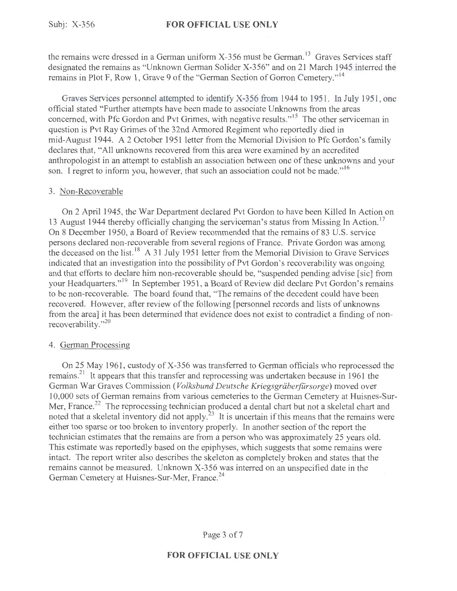the remains were dressed in a German uniform X-356 must be German.<sup>13</sup> Graves Services staff designated the remains as "Unknown German Solider X-356" and on 21 March 1945 interred the remains in Plot F, Row 1, Grave 9 of the "German Section of Gorron Cemetery."<sup>14</sup>

Graves Services personnel attempted to identify X-356 from 1944 to 1951. In July 1951, one official stated "Further attempts have been made to associate Unknowns from the areas concerned, with Pfc Gordon and Pvt Grimes, with negative results."<sup>15</sup> The other serviceman in question is Pvt Ray Grimes of the 32nd Armored Regiment who reportedly died in mid-August 1944. A 2 October 1951 letter from the Memorial Division to Pfc Gordon's family declares that, "All unknowns recovered from this area were examined by an accredited anthropologist in an attempt to establish an association between one of these unknowns and your son. I regret to inform you, however, that such an association could not be made."<sup>16</sup>

#### 3. Non-Recoverable

On 2 April 1945, the War Department declared Pvt Gordon to have been Killed In Action on 13 August 1944 thereby officially changing the serviceman's status from Missing In Action.<sup>17</sup> On 8 December 1950, a Board of Review recommended that the remains of 83 U.S. service persons declared non-recoverable from several regions of France. Private Gordon was among the deceased on the list. <sup>18</sup> A 31 July 1951 letter from the Memorial Division to Grave Services indicated that an investigation into the possibility of Pvt Gordon's recoverability was ongoing and that efforts to declare him non-recoverable should be, "suspended pending advise [sic] from your Headquarters."<sup>19</sup> In September 1951, a Board of Review did declare Pvt Gordon's remains to be non-recoverable. The board found that, "The remains of the decedent could have been recovered. However, after review of the following [personnel records and lists of unknowns from the area] it has been determined that evidence does not exist to contradict a finding of nonrecoverability."<sup>20</sup>

### 4. German Processing

On 25 May 1961, custody of X-356 was transferred to German officials who reprocessed the remains?' It appears that this transfer and reprocessing was undertaken because in 1961 the German War Graves Commission *(Volksbund Deutsche Kriegsgräberfürsorge)* moved over 10,000 sets of German remains from various cemeteries to the German Cemetery at Huisnes-Sur-Mer, France.<sup>22</sup> The reprocessing technician produced a dental chart but not a skeletal chart and noted that a skeletal inventory did not apply.<sup>23</sup> It is uncertain if this means that the remains were either too sparse or too broken to inventory properly. In another section of the report the technician estimates that the remains are from a person who was approximately 25 years old. This estimate was reportedly based on the epiphyses, which suggests that some remains were intact. The report writer also describes the skeleton as completely broken and states that the remains cannot be measured. Unknown X-356 was interred on an unspecified date in the German Cemetery at Huisnes-Sur-Mer, France.<sup>24</sup>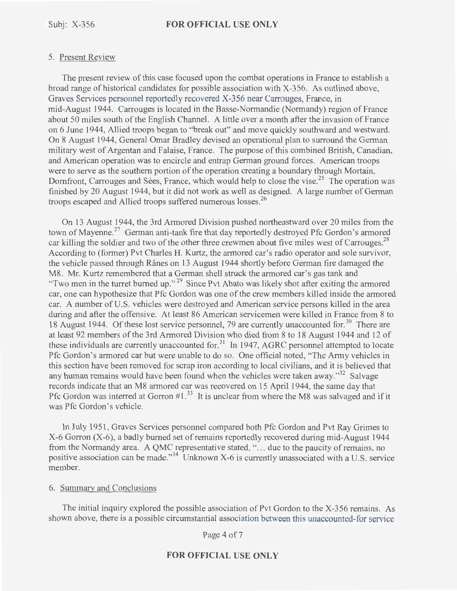#### 5. Present Review

The present review of this case focused upon the combat operations in France to establish a broad range of historical candidates for possible association with X-356. As outlined above, Graves Services personnel reportedly recovered X-356 near Carrouges, France, in mid-August 1944. Carrouges is located in the Basse-Normandie (Normandy) region of France about 50 miles south of the English Channel. A little over a month after the invasion of France on 6 June 1944, Allied troops began to "break out" and move quickly southward and westward. On 8 August 1944, General Omar Bradley devised an operational plan to surround the German military west of Argentan and Falaise, France. The purpose of this combined British, Canadian, and American operation was to encircle and entrap German ground forces. American troops were to serve as the southern portion of the operation creating a boundary through Mortain, Dornfront, Carrouges and Sées, France, which would help to close the vise.<sup>25</sup> The operation was finished by 20 August 1944, but it did not work as well as designed. A large number of German troops escaped and Allied troops suffered numerous losses.<sup>26</sup>

On 13 August 1944, the 3rd Armored Division pushed northeastward over 20 miles from the town of Mayenne.<sup>27</sup> German anti-tank fire that day reportedly destroyed Pfc Gordon's armored car killing the soldier and two of the other three crewmen about five miles west of Carrouges.<sup>28</sup> According to (former) Pvt Charles H. Kurtz, the armored car's radio operator and sole survivor, the vehicle passed through Rânes on 13 August 1944 shortly before German fire damaged the MS. Mr. Kurtz remembered that a German shell struck the armored car's gas tank and "Two men in the turret burned up."<sup>29</sup> Since Pvt Abato was likely shot after exiting the armored car, one can hypothesize that Pfc Gordon was one of the crew members killed inside the armored car. A number of U.S. vehicles were destroyed and American service persons killed in the area during and after the offensive. At least 86 American servicemen were killed in France from 8 to 18 August 1944. Of these lost service personnel, 79 are currently unaccounted for.<sup>30</sup> There are at least 92 members of the 3rd Armored Division who died from 8 to 18 August 1944 and 12 of these individuals are currently unaccounted for.<sup>31</sup> In 1947, AGRC personnel attempted to locate Pfc Gordon's armored car but were unable to do so. One official noted, "The Army vehicles in this section have been removed for scrap iron according to local civilians, and it is believed that any human remains would have been found when the vehicles were taken away."<sup>32</sup> Salvage records indicate that an M8 armored car was recovered on 15 April 1944, the same day that Pfc Gordon was interred at Gorron  $#1.^{33}$  It is unclear from where the M8 was salvaged and if it was Pfc Gordon's vehicle.

In July 1951, Graves Services personnel compared both Pfc Gordon and Pvt Ray Grimes to X-6 Gorron (X-6), a badly burned set of remains reportedly recovered during mid-August 1944 from the Normandy area. A QMC representative stated, "... due to the paucity of remains, no positive association can be made."<sup>34</sup> Unknown X-6 is currently unassociated with a U.S. service member.

#### 6. Summary and Conclusions

The initial inquiry explored the possible association of Pvt Gordon to the X-356 remains. As shown above, there is a possible circumstantial association between this unaccounted-for service

Page 4 of 7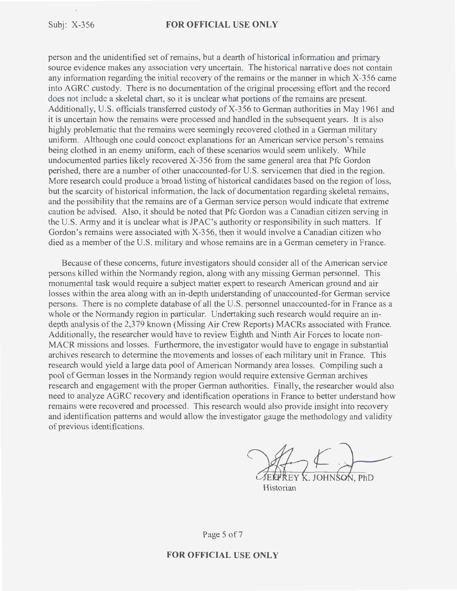person and the unidentified set of remains, but a dearth of historical information and primary source evidence makes any association very uncertain. The historical narrative does not contain any information regarding the initial recovery of the remains or the manner in which X-356 came into AGRC custody. There is no documentation of the original processing effort and the record does not include a skeletal chart, so it is unclear what portions of the remains are present. Additionally, U.S. officials transferred custody of X-356 to German authorities in May 1961 and it is uncertain how the remains were processed and handled in the subsequent years. It is also highly problematic that the remains were seemingly recovered clothed in a German military uniform. Although one could concoct explanations for an American service person's remains being clothed in an enemy uniform, each of these scenarios would seem unlikely. While undocumented parties likely recovered X-356 from the same general area that Pfc Gordon perished, there are a number of other unaccounted-for U.S. servicemen that died in the region. More research could produce a broad listing of historical candidates based on the region of loss, but the scarcity of historical information, the lack of documentation regarding skeletal remains, and the possibility that the remains are of a German service person would indicate that extreme caution be advised. Also, it should be noted that Pfc Gordon was a Canadian citizen serving in the U.S. Army and it is unclear what is JPAC's authority or responsibility in such matters. If Gordon's remains were associated with X-356, then it would involve a Canadian citizen who died as a member of the U.S. military and whose remains are in a German cemetery in France.

Because of these concerns, future investigators should consider all of the American service persons killed within the Normandy region, along with any missing German personnel. This monumental task would require a subject matter expert to research American ground and air losses within the area along with an in-depth understanding of unaccounted-for German service persons. There is no complete database of all the U.S. personnel unaccounted-for in France as a whole or the Normandy region in particular. Undertaking such research would require an indepth analysis of the 2,379 known (Missing Air Crew Reports) MACRs associated with France. Additionally, the researcher would have to review Eighth and Ninth Air Forces to locate non-MACR missions and losses. Furthermore, the investigator would have to engage in substantial archives research to determine the movements and losses of each military unit in France. This research would yield a large data pool of American Normandy area losses. Compiling such a pool of German losses in the Normandy region would require extensive German archives research and engagement with the proper German authorities. Finally, the researcher would also need to analyze AGRC recovery and identification operations in France to better understand how remains were recovered and processed. This research would also provide insight into recovery and identification patterns and would allow the investigator gauge the methodology and validity of previous identifications.

Historian

Page 5 of 7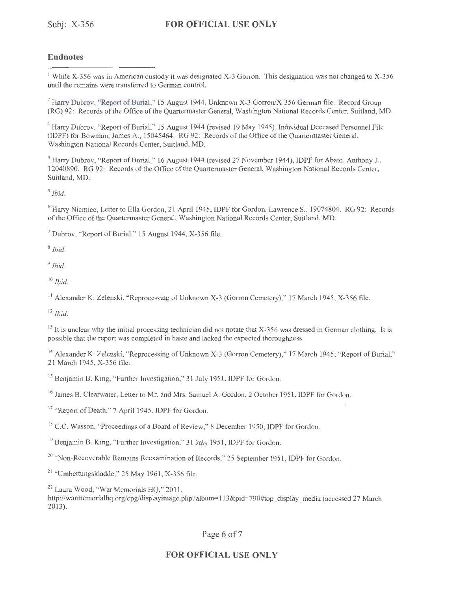## **Endnotes**

<sup>1</sup> While X-356 was in American custody it was designated X-3 Gorron. This designation was not changed to X-356 until the remains were transferred to German control.

<sup>2</sup> Harry Dubrov, "Report of Burial," 15 August 1944, Unknown X-3 Gorron/X-356 German file. Record Group (RG) 92: Records of the Office of the Quartermaster General, Washington National Records Center, Suitland, MD.

<sup>3</sup> Harry Dubrov, "Report of Burial," 15 August 1944 (revised 19 May 1945), Individual Deceased Personnel File (IDPF) for Bowman, James A , 15045464. RG 92: Records of the Office of the Quartermaster General, Washington National Records Center, Suitland, MD.

4 Harry Dubrov, "Report of Burial," 16 August 1944 (revised 27 November 1944), IDPF for Abato, Anthony J., 12040890. RG 92: Records of the Office of the Quartermaster General, Washington National Records Center, Suitland, MD.

*5 Ibid.* 

<sup>6</sup> Harry Niemiec, Letter to Ella Gordon, 21 April 1945, IDPF for Gordon, Lawrence S., 19074804. RG 92: Records of the Office of the Quartermaster General, Washington National Records Center, Suitland, MD.

 $<sup>7</sup>$  Dubrov, "Report of Burial," 15 August 1944, X-356 file.</sup>

<sup>8</sup>*Ibid.* 

<sup>9</sup>*Ibid.* 

<sup>10</sup>*Ibid.* 

<sup>11</sup> Alexander K. Zelenski, "Reprocessing of Unknown X-3 (Gorron Cemetery)," 17 March 1945, X-356 file.

<sup>12</sup>*Ibid.* 

 $13$  It is unclear why the initial processing technician did not notate that X-356 was dressed in German clothing. It is possible that the report was completed in haste and lacked the expected thoroughness.

<sup>14</sup> Alexander K. Zelenski, "Reprocessing of Unknown X-3 (Gorron Cemetery)," 17 March 1945; "Report of Burial," 21 March 1945, X-356 file.

<sup>15</sup> Benjamin B. King, "Further Investigation," 31 July 1951, IDPF for Gordon.

<sup>16</sup> James B. Clearwater, Letter to Mr. and Mrs. Samuel A. Gordon, 2 October 1951, IDPF for Gordon.

<sup>17</sup> "Report of Death," 7 April 1945, IDPF for Gordon.

<sup>18</sup> C.C. Wasson, "Proceedings of a Board of Review," 8 December 1950, IDPF for Gordon.

<sup>19</sup> Benjamin B. King, "Further Investigation," 31 July 1951, IDPF for Gordon.

<sup>20</sup> "Non-Recoverable Remains Reexamination of Records," 25 September 1951, IDPF for Gordon.

 $21$  "Umbettungskladde," 25 May 1961, X-356 file.

<sup>22</sup> Laura Wood, "War Memorials HQ," 2011,

http://warmemorialhq.org/cpg/displayimage.php?album=113&pid=790#top display media (accessed 27 March 2013).

Page 6 of 7